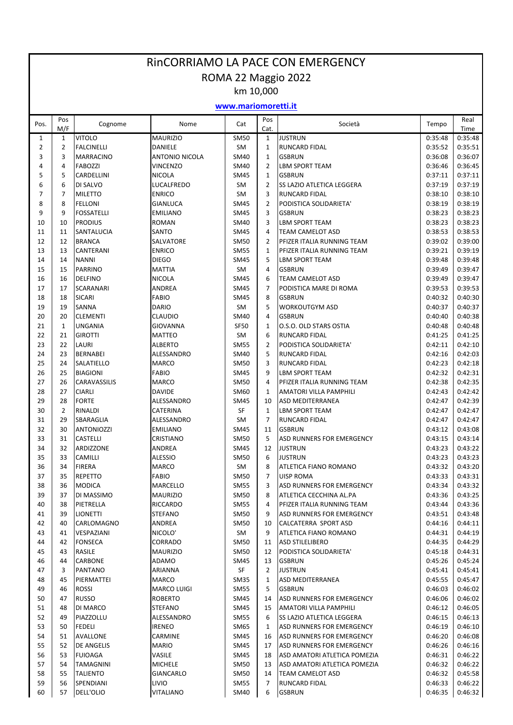## RinCORRIAMO LA PACE CON EMERGENCY ROMA 22 Maggio 2022

km 10,000

## **www.mariomoretti.it**

| Pos.           | Pos<br>M/F     | Cognome                               | Nome                          | Cat                      | Pos<br>Cat.          | Società                                                           | Tempo              | Real<br>Time       |
|----------------|----------------|---------------------------------------|-------------------------------|--------------------------|----------------------|-------------------------------------------------------------------|--------------------|--------------------|
| $\mathbf{1}$   | $\mathbf{1}$   | <b>VITOLO</b>                         | <b>MAURIZIO</b>               | SM50                     | $\mathbf{1}$         | <b>JUSTRUN</b>                                                    | 0:35:48            | 0:35:48            |
| $\overline{2}$ | $\overline{2}$ | <b>FALCINELLI</b>                     | <b>DANIELE</b>                | SM                       | $\mathbf{1}$         | RUNCARD FIDAL                                                     | 0:35:52            | 0:35:51            |
| 3              | 3              | <b>MARRACINO</b>                      | <b>ANTONIO NICOLA</b>         | SM40                     | $\mathbf{1}$         | <b>GSBRUN</b>                                                     | 0:36:08            | 0:36:07            |
| 4              | $\overline{4}$ | <b>FABOZZI</b>                        | <b>VINCENZO</b>               | SM40                     | $\overline{2}$       | <b>LBM SPORT TEAM</b>                                             | 0:36:46            | 0:36:45            |
| 5              | 5              | <b>CARDELLINI</b>                     | <b>NICOLA</b>                 | SM45                     | $\mathbf{1}$         | <b>GSBRUN</b>                                                     | 0:37:11            | 0:37:11            |
| 6              | 6              | DI SALVO                              | LUCALFREDO                    | <b>SM</b>                | $\overline{2}$       | SS LAZIO ATLETICA LEGGERA                                         | 0:37:19            | 0:37:19            |
| $\overline{7}$ | $\overline{7}$ | <b>MILETTO</b>                        | <b>ENRICO</b>                 | SM                       | 3                    | <b>RUNCARD FIDAL</b>                                              | 0:38:10            | 0:38:10            |
| 8              | 8              | <b>FELLONI</b>                        | <b>GIANLUCA</b>               | <b>SM45</b>              | $\overline{2}$       | PODISTICA SOLIDARIETA'                                            | 0:38:19            | 0:38:19            |
| 9              | 9              | <b>FOSSATELLI</b>                     | <b>EMILIANO</b>               | <b>SM45</b>              | 3                    | <b>GSBRUN</b>                                                     | 0:38:23            | 0:38:23            |
| 10             | 10<br>11       | <b>PRODIUS</b>                        | <b>ROMAN</b><br>SANTO         | SM40                     | 3<br>$\overline{4}$  | <b>LBM SPORT TEAM</b><br><b>TEAM CAMELOT ASD</b>                  | 0:38:23<br>0:38:53 | 0:38:23<br>0:38:53 |
| 11<br>12       | 12             | SANTALUCIA<br><b>BRANCA</b>           | SALVATORE                     | SM45<br><b>SM50</b>      | $\overline{2}$       | PFIZER ITALIA RUNNING TEAM                                        | 0:39:02            | 0:39:00            |
| 13             | 13             | CANTERANI                             | <b>ENRICO</b>                 | <b>SM55</b>              | $\mathbf{1}$         | PFIZER ITALIA RUNNING TEAM                                        | 0:39:21            | 0:39:19            |
| 14             | 14             | <b>NANNI</b>                          | <b>DIEGO</b>                  | <b>SM45</b>              | 5                    | LBM SPORT TEAM                                                    | 0:39:48            | 0:39:48            |
| 15             | 15             | <b>PARRINO</b>                        | <b>MATTIA</b>                 | <b>SM</b>                | $\overline{4}$       | <b>GSBRUN</b>                                                     | 0:39:49            | 0:39:47            |
| 16             | 16             | <b>DELFINO</b>                        | <b>NICOLA</b>                 | <b>SM45</b>              | 6                    | <b>TEAM CAMELOT ASD</b>                                           | 0:39:49            | 0:39:47            |
| 17             | 17             | <b>SCARANARI</b>                      | ANDREA                        | <b>SM45</b>              | $\overline{7}$       | PODISTICA MARE DI ROMA                                            | 0:39:53            | 0:39:53            |
| 18             | 18             | <b>SICARI</b>                         | <b>FABIO</b>                  | <b>SM45</b>              | 8                    | <b>GSBRUN</b>                                                     | 0:40:32            | 0:40:30            |
| 19             | 19             | <b>SANNA</b>                          | <b>DARIO</b>                  | SM                       | 5                    | <b>WORKOUTGYM ASD</b>                                             | 0:40:37            | 0:40:37            |
| 20             | 20             | <b>CLEMENTI</b>                       | <b>CLAUDIO</b>                | SM40                     | 4                    | <b>GSBRUN</b>                                                     | 0:40:40            | 0:40:38            |
| 21             | $\mathbf{1}$   | <b>UNGANIA</b>                        | <b>GIOVANNA</b>               | <b>SF50</b>              | $\mathbf{1}$         | O.S.O. OLD STARS OSTIA                                            | 0:40:48            | 0:40:48            |
| 22             | 21             | <b>GIROTTI</b>                        | <b>MATTEO</b>                 | SM                       | 6                    | <b>RUNCARD FIDAL</b>                                              | 0:41:25            | 0:41:25            |
| 23             | 22             | LAURI                                 | <b>ALBERTO</b>                | <b>SM55</b>              | $\overline{2}$       | PODISTICA SOLIDARIETA'                                            | 0:42:11            | 0:42:10            |
| 24             | 23             | <b>BERNABEI</b>                       | ALESSANDRO                    | SM40                     | 5                    | <b>RUNCARD FIDAL</b>                                              | 0:42:16            | 0:42:03            |
| 25             | 24             | <b>SALATIELLO</b>                     | <b>MARCO</b>                  | <b>SM50</b>              | 3                    | RUNCARD FIDAL                                                     | 0:42:23            | 0:42:18            |
| 26             | 25             | <b>BIAGIONI</b>                       | <b>FABIO</b>                  | <b>SM45</b>              | 9                    | <b>LBM SPORT TEAM</b>                                             | 0:42:32            | 0:42:31            |
| 27             | 26             | CARAVASSILIS                          | <b>MARCO</b>                  | <b>SM50</b>              | 4                    | PFIZER ITALIA RUNNING TEAM                                        | 0:42:38            | 0:42:35            |
| 28             | 27             | <b>CIARLI</b>                         | <b>DAVIDE</b>                 | SM60                     | $\mathbf{1}$         | AMATORI VILLA PAMPHILI                                            | 0:42:43            | 0:42:42            |
| 29             | 28             | <b>FORTE</b>                          | ALESSANDRO                    | SM45                     | 10                   | ASD MEDITERRANEA                                                  | 0:42:47            | 0:42:39            |
| 30             | $\overline{2}$ | <b>RINALDI</b>                        | <b>CATERINA</b>               | SF                       | $\mathbf{1}$         | <b>LBM SPORT TEAM</b>                                             | 0:42:47            | 0:42:47<br>0:42:47 |
| 31<br>32       | 29<br>30       | <b>SBARAGLIA</b><br><b>ANTONIOZZI</b> | ALESSANDRO<br><b>EMILIANO</b> | <b>SM</b><br><b>SM45</b> | $\overline{7}$<br>11 | RUNCARD FIDAL<br><b>GSBRUN</b>                                    | 0:42:47<br>0:43:12 | 0:43:08            |
| 33             | 31             | <b>CASTELLI</b>                       | <b>CRISTIANO</b>              | <b>SM50</b>              | 5                    | ASD RUNNERS FOR EMERGENCY                                         | 0:43:15            | 0:43:14            |
| 34             | 32             | ARDIZZONE                             | ANDREA                        | SM45                     | 12                   | JUSTRUN                                                           | 0:43:23            | 0:43:22            |
| 35             | 33             | <b>CAMILLI</b>                        | <b>ALESSIO</b>                | <b>SM50</b>              | 6                    | <b>JUSTRUN</b>                                                    | 0:43:23            | 0:43:23            |
| 36             | 34             | <b>FIRERA</b>                         | <b>MARCO</b>                  | SM                       | 8                    | ATLETICA FIANO ROMANO                                             | 0:43:32            | 0:43:20            |
| 37             | 35             | <b>REPETTO</b>                        | <b>FABIO</b>                  | <b>SM50</b>              | $\overline{7}$       | <b>UISP ROMA</b>                                                  | 0:43:33            | 0:43:31            |
| 38             | 36             | <b>MODICA</b>                         | MARCELLO                      | <b>SM55</b>              | 3                    | ASD RUNNERS FOR EMERGENCY                                         | 0:43:34            | 0:43:32            |
| 39             | 37             | DI MASSIMO                            | <b>MAURIZIO</b>               | <b>SM50</b>              | 8                    | ATLETICA CECCHINA AL.PA                                           | 0:43:36            | 0:43:25            |
| 40             | 38             | PIETRELLA                             | RICCARDO                      | SM55                     | 4                    | PFIZER ITALIA RUNNING TEAM                                        | 0:43:44            | 0:43:36            |
| 41             | 39             | <b>LIONETTI</b>                       | <b>STEFANO</b>                | <b>SM50</b>              | 9                    | ASD RUNNERS FOR EMERGENCY                                         | 0:43:51            | 0:43:48            |
| 42             | 40             | CARLOMAGNO                            | ANDREA                        | SM50                     | 10                   | CALCATERRA SPORT ASD                                              | 0:44:16            | 0:44:11            |
| 43             | 41             | VESPAZIANI                            | NICOLO'                       | SM                       | 9                    | ATLETICA FIANO ROMANO                                             | 0:44:31            | 0:44:19            |
| 44             | 42             | <b>FONSECA</b>                        | CORRADO                       | <b>SM50</b>              | 11                   | <b>ASD STILELIBERO</b>                                            | 0:44:35            | 0:44:29            |
| 45             | 43             | RASILE                                | <b>MAURIZIO</b>               | <b>SM50</b>              | 12                   | PODISTICA SOLIDARIETA'                                            | 0:45:18            | 0:44:31            |
| 46             | 44             | CARBONE                               | ADAMO                         | SM45                     | 13                   | <b>GSBRUN</b>                                                     | 0:45:26            | 0:45:24            |
| 47             | 3              | PANTANO                               | ARIANNA                       | SF                       | 2                    | <b>JUSTRUN</b>                                                    | 0:45:41            | 0:45:41            |
| 48             | 45             | PIERMATTEI                            | MARCO                         | SM35                     | $\mathbf{1}$         | ASD MEDITERRANEA                                                  | 0:45:55            | 0:45:47            |
| 49             | 46             | ROSSI                                 | <b>MARCO LUIGI</b>            | <b>SM55</b>              | 5                    | <b>GSBRUN</b>                                                     | 0:46:03            | 0:46:02            |
| 50             | 47             | <b>RUSSO</b>                          | <b>ROBERTO</b>                | SM45                     | 14                   | ASD RUNNERS FOR EMERGENCY                                         | 0:46:06            | 0:46:02            |
| 51<br>52       | 48<br>49       | DI MARCO<br>PIAZZOLLU                 | STEFANO<br>ALESSANDRO         | <b>SM45</b><br>SM55      | 15<br>6              | <b>AMATORI VILLA PAMPHILI</b><br><b>SS LAZIO ATLETICA LEGGERA</b> | 0:46:12<br>0:46:15 | 0:46:05<br>0:46:13 |
| 53             | 50             | <b>FEDELI</b>                         | <b>IRENEO</b>                 | SM65                     | $\mathbf{1}$         | ASD RUNNERS FOR EMERGENCY                                         | 0:46:19            | 0:46:10            |
| 54             | 51             | AVALLONE                              | CARMINE                       | SM45                     | 16                   | ASD RUNNERS FOR EMERGENCY                                         | 0:46:20            | 0:46:08            |
| 55             | 52             | DE ANGELIS                            | <b>MARIO</b>                  | SM45                     | 17                   | ASD RUNNERS FOR EMERGENCY                                         | 0:46:26            | 0:46:16            |
| 56             | 53             | <b>FUIOAGA</b>                        | VASILE                        | SM45                     | 18                   | ASD AMATORI ATLETICA POMEZIA                                      | 0:46:31            | 0:46:22            |
| 57             | 54             | <b>TAMAGNINI</b>                      | <b>MICHELE</b>                | <b>SM50</b>              | 13                   | ASD AMATORI ATLETICA POMEZIA                                      | 0:46:32            | 0:46:22            |
| 58             | 55             | <b>TALIENTO</b>                       | GIANCARLO                     | <b>SM50</b>              | 14                   | <b>TEAM CAMELOT ASD</b>                                           | 0:46:32            | 0:45:58            |
| 59             | 56             | SPENDIANI                             | LIVIO                         | <b>SM55</b>              | 7                    | <b>RUNCARD FIDAL</b>                                              | 0:46:33            | 0:46:22            |
| 60             | 57             | <b>DELL'OLIO</b>                      | VITALIANO                     | SM40                     | 6                    | <b>GSBRUN</b>                                                     | 0:46:35            | 0:46:32            |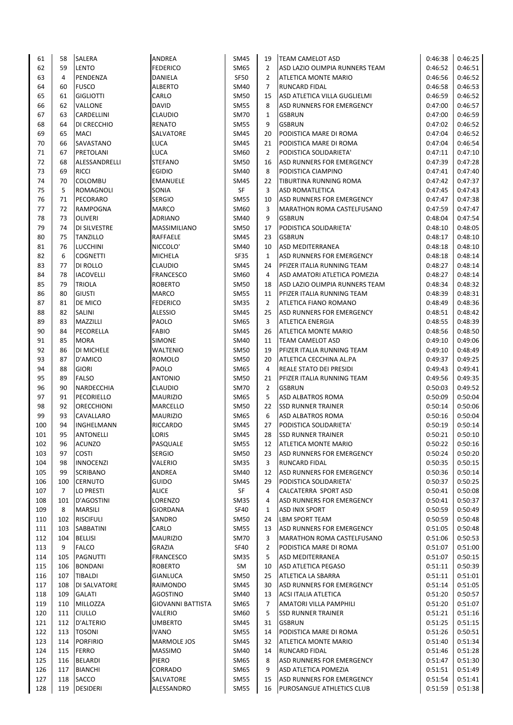| 61  | 58  | <b>SALERA</b>       | ANDREA                   | SM45        | 19             | <b>TEAM CAMELOT ASD</b>           | 0:46:38 | 0:46:25 |
|-----|-----|---------------------|--------------------------|-------------|----------------|-----------------------------------|---------|---------|
| 62  | 59  | <b>LENTO</b>        | <b>FEDERICO</b>          | SM65        | $\overline{2}$ | ASD LAZIO OLIMPIA RUNNERS TEAM    | 0:46:52 | 0:46:51 |
| 63  | 4   | PENDENZA            | <b>DANIELA</b>           | SF50        | $\overline{2}$ | ATLETICA MONTE MARIO              | 0:46:56 | 0:46:52 |
|     |     |                     |                          |             |                |                                   |         |         |
| 64  | 60  | <b>FUSCO</b>        | ALBERTO                  | SM40        | 7              | <b>RUNCARD FIDAL</b>              | 0:46:58 | 0:46:53 |
| 65  | 61  | <b>GIGLIOTTI</b>    | CARLO                    | <b>SM50</b> | 15             | ASD ATLETICA VILLA GUGLIELMI      | 0:46:59 | 0:46:52 |
| 66  | 62  | <b>VALLONE</b>      | <b>DAVID</b>             | <b>SM55</b> | 8              | <b>ASD RUNNERS FOR EMERGENCY</b>  | 0:47:00 | 0:46:57 |
| 67  | 63  | CARDELLINI          | <b>CLAUDIO</b>           | <b>SM70</b> | $\mathbf{1}$   | <b>GSBRUN</b>                     | 0:47:00 | 0:46:59 |
| 68  | 64  | DI CRECCHIO         | <b>RENATO</b>            | <b>SM55</b> | 9              | <b>GSBRUN</b>                     | 0:47:02 | 0:46:52 |
| 69  | 65  | <b>MACI</b>         | SALVATORE                | SM45        | 20             | PODISTICA MARE DI ROMA            | 0:47:04 | 0:46:52 |
| 70  | 66  | SAVASTANO           | LUCA                     | SM45        | 21             | PODISTICA MARE DI ROMA            | 0:47:04 | 0:46:54 |
| 71  | 67  | PRETOLANI           | LUCA                     | <b>SM60</b> | $\overline{2}$ | PODISTICA SOLIDARIETA'            | 0:47:11 | 0:47:10 |
| 72  | 68  | ALESSANDRELLI       | <b>STEFANO</b>           | <b>SM50</b> | 16             | <b>ASD RUNNERS FOR EMERGENCY</b>  | 0:47:39 | 0:47:28 |
|     |     |                     |                          |             |                |                                   |         |         |
| 73  | 69  | <b>RICCI</b>        | <b>EGIDIO</b>            | SM40        | 8              | PODISTICA CIAMPINO                | 0:47:41 | 0:47:40 |
| 74  | 70  | COLOMBU             | <b>EMANUELE</b>          | SM45        | 22             | <b>TIBURTINA RUNNING ROMA</b>     | 0:47:42 | 0:47:37 |
| 75  | 5   | ROMAGNOLI           | SONIA                    | SF          | 3              | <b>ASD ROMATLETICA</b>            | 0:47:45 | 0:47:43 |
| 76  | 71  | PECORARO            | <b>SERGIO</b>            | <b>SM55</b> | 10             | <b>ASD RUNNERS FOR EMERGENCY</b>  | 0:47:47 | 0:47:38 |
| 77  | 72  | <b>RAMPOGNA</b>     | <b>MARCO</b>             | SM60        | 3              | MARATHON ROMA CASTELFUSANO        | 0:47:59 | 0:47:47 |
| 78  | 73  | OLIVERI             | <b>ADRIANO</b>           | SM40        | 9              | <b>GSBRUN</b>                     | 0:48:04 | 0:47:54 |
| 79  | 74  | <b>DI SILVESTRE</b> | MASSIMILIANO             | <b>SM50</b> | 17             | PODISTICA SOLIDARIETA'            | 0:48:10 | 0:48:05 |
| 80  | 75  | <b>TANZILLO</b>     | RAFFAELE                 | SM45        | 23             | <b>GSBRUN</b>                     | 0:48:17 | 0:48:10 |
| 81  | 76  | <b>LUCCHINI</b>     | NICCOLO'                 | SM40        | 10             | <b>ASD MEDITERRANEA</b>           | 0:48:18 | 0:48:10 |
|     |     |                     |                          |             |                |                                   |         |         |
| 82  | 6   | <b>COGNETTI</b>     | <b>MICHELA</b>           | <b>SF35</b> | 1              | <b>ASD RUNNERS FOR EMERGENCY</b>  | 0:48:18 | 0:48:14 |
| 83  | 77  | <b>DI ROLLO</b>     | <b>CLAUDIO</b>           | SM45        | 24             | PFIZER ITALIA RUNNING TEAM        | 0:48:27 | 0:48:14 |
| 84  | 78  | <b>IACOVELLI</b>    | <b>FRANCESCO</b>         | SM60        | 4              | ASD AMATORI ATLETICA POMEZIA      | 0:48:27 | 0:48:14 |
| 85  | 79  | <b>TRIOLA</b>       | <b>ROBERTO</b>           | <b>SM50</b> | 18             | ASD LAZIO OLIMPIA RUNNERS TEAM    | 0:48:34 | 0:48:32 |
| 86  | 80  | <b>GIUSTI</b>       | <b>MARCO</b>             | <b>SM55</b> | 11             | PFIZER ITALIA RUNNING TEAM        | 0:48:39 | 0:48:31 |
| 87  | 81  | DE MICO             | <b>FEDERICO</b>          | <b>SM35</b> | $\overline{2}$ | <b>ATLETICA FIANO ROMANO</b>      | 0:48:49 | 0:48:36 |
| 88  | 82  | <b>SALINI</b>       | <b>ALESSIO</b>           | SM45        | 25             | <b>ASD RUNNERS FOR EMERGENCY</b>  | 0:48:51 | 0:48:42 |
| 89  | 83  | MAZZILLI            | PAOLO                    | SM65        | 3              | <b>ATLETICA ENERGIA</b>           | 0:48:55 | 0:48:39 |
| 90  | 84  | PECORELLA           | FABIO                    | SM45        | 26             | <b>ATLETICA MONTE MARIO</b>       | 0:48:56 | 0:48:50 |
|     | 85  |                     | <b>SIMONE</b>            |             | 11             |                                   |         | 0:49:06 |
| 91  |     | <b>MORA</b>         |                          | SM40        |                | <b>TEAM CAMELOT ASD</b>           | 0:49:10 |         |
| 92  | 86  | DI MICHELE          | <b>WALTENIO</b>          | <b>SM50</b> | 19             | PFIZER ITALIA RUNNING TEAM        | 0:49:10 | 0:48:49 |
| 93  | 87  | D'AMICO             | <b>ROMOLO</b>            | SM50        | 20             | ATLETICA CECCHINA AL.PA           | 0:49:37 | 0:49:25 |
| 94  | 88  | <b>GIORI</b>        | PAOLO                    | SM65        | 4              | <b>REALE STATO DEI PRESIDI</b>    | 0:49:43 | 0:49:41 |
| 95  | 89  | <b>FALSO</b>        | <b>ANTONIO</b>           | SM50        | 21             | PFIZER ITALIA RUNNING TEAM        | 0:49:56 | 0:49:35 |
| 96  | 90  | <b>NARDECCHIA</b>   | <b>CLAUDIO</b>           | <b>SM70</b> | $\overline{2}$ | <b>GSBRUN</b>                     | 0:50:03 | 0:49:52 |
| 97  | 91  | PECORIELLO          | <b>MAURIZIO</b>          | SM65        | 5              | <b>ASD ALBATROS ROMA</b>          | 0:50:09 | 0:50:04 |
| 98  | 92  | ORECCHIONI          | MARCELLO                 | <b>SM50</b> | 22             | <b>SSD RUNNER TRAINER</b>         | 0:50:14 | 0:50:06 |
| 99  | 93  | CAVALLARO           | <b>MAURIZIO</b>          | SM65        | 6              | <b>ASD ALBATROS ROMA</b>          | 0:50:16 | 0:50:04 |
| 100 | 94  | INGHELMANN          | <b>RICCARDO</b>          | SM45        | 27             | PODISTICA SOLIDARIETA'            | 0:50:19 | 0:50:14 |
| 101 | 95  | <b>ANTONELLI</b>    | LORIS                    | SM45        | 28             | <b>SSD RUNNER TRAINER</b>         | 0:50:21 | 0:50:10 |
|     |     |                     | PASQUALE                 |             |                |                                   |         |         |
| 102 | 96  | <b>ACUNZO</b>       |                          | SM55        | 12             | <b>ATLETICA MONTE MARIO</b>       | 0:50:22 | 0:50:16 |
| 103 | 97  | <b>COSTI</b>        | <b>SERGIO</b>            | SM50        | 23             | <b>ASD RUNNERS FOR EMERGENCY</b>  | 0:50:24 | 0:50:20 |
| 104 | 98  | <b>INNOCENZI</b>    | VALERIO                  | <b>SM35</b> | 3              | <b>RUNCARD FIDAL</b>              | 0:50:35 | 0:50:15 |
| 105 | 99  | <b>SCRIBANO</b>     | ANDREA                   | SM40        | 12             | <b>ASD RUNNERS FOR EMERGENCY</b>  | 0:50:36 | 0:50:14 |
| 106 | 100 | <b>CERNUTO</b>      | GUIDO                    | SM45        | 29             | PODISTICA SOLIDARIETA'            | 0:50:37 | 0:50:25 |
| 107 | 7   | LO PRESTI           | <b>ALICE</b>             | SF          | 4              | <b>CALCATERRA SPORT ASD</b>       | 0:50:41 | 0:50:08 |
| 108 | 101 | D'AGOSTINI          | LORENZO                  | SM35        | 4              | ASD RUNNERS FOR EMERGENCY         | 0:50:41 | 0:50:37 |
| 109 | 8   | <b>MARSILI</b>      | <b>GIORDANA</b>          | <b>SF40</b> | 1              | <b>ASD INIX SPORT</b>             | 0:50:59 | 0:50:49 |
| 110 | 102 | <b>RISCIFULI</b>    | SANDRO                   | SM50        | 24             | <b>LBM SPORT TEAM</b>             | 0:50:59 | 0:50:48 |
| 111 | 103 | <b>SABBATINI</b>    | CARLO                    | <b>SM55</b> | 13             | <b>ASD RUNNERS FOR EMERGENCY</b>  | 0:51:05 | 0:50:48 |
|     | 104 |                     | <b>MAURIZIO</b>          |             | 3              | <b>MARATHON ROMA CASTELFUSANO</b> |         | 0:50:53 |
| 112 |     | <b>BELLISI</b>      |                          | <b>SM70</b> |                |                                   | 0:51:06 |         |
| 113 | 9   | <b>FALCO</b>        | GRAZIA                   | <b>SF40</b> | 2              | PODISTICA MARE DI ROMA            | 0:51:07 | 0:51:00 |
| 114 | 105 | <b>PAGNUTTI</b>     | <b>FRANCESCO</b>         | <b>SM35</b> | 5              | ASD MEDITERRANEA                  | 0:51:07 | 0:50:15 |
| 115 | 106 | <b>BONDANI</b>      | <b>ROBERTO</b>           | SM          | 10             | <b>ASD ATLETICA PEGASO</b>        | 0:51:11 | 0:50:39 |
| 116 | 107 | <b>TIBALDI</b>      | <b>GIANLUCA</b>          | SM50        | 25             | <b>ATLETICA LA SBARRA</b>         | 0:51:11 | 0:51:01 |
| 117 | 108 | DI SALVATORE        | RAIMONDO                 | SM45        | 30             | <b>ASD RUNNERS FOR EMERGENCY</b>  | 0:51:14 | 0:51:05 |
| 118 | 109 | <b>GALATI</b>       | <b>AGOSTINO</b>          | SM40        | 13             | <b>ACSI ITALIA ATLETICA</b>       | 0:51:20 | 0:50:57 |
| 119 | 110 | MILLOZZA            | <b>GIOVANNI BATTISTA</b> | SM65        | 7              | <b>AMATORI VILLA PAMPHILI</b>     | 0:51:20 | 0:51:07 |
| 120 | 111 | <b>CIULLO</b>       | VALERIO                  | SM60        | 5              | <b>SSD RUNNER TRAINER</b>         | 0:51:21 | 0:51:16 |
| 121 | 112 | D'ALTERIO           | <b>UMBERTO</b>           | SM45        | 31             | <b>GSBRUN</b>                     | 0:51:25 | 0:51:15 |
|     |     |                     |                          |             |                |                                   |         |         |
| 122 | 113 | <b>TOSONI</b>       | <b>IVANO</b>             | SM55        | 14             | PODISTICA MARE DI ROMA            | 0:51:26 | 0:50:51 |
| 123 | 114 | <b>PORFIRIO</b>     | <b>MARMOLE JOS</b>       | SM45        | 32             | <b>ATLETICA MONTE MARIO</b>       | 0:51:40 | 0:51:34 |
| 124 | 115 | <b>FERRO</b>        | <b>MASSIMO</b>           | SM40        | 14             | <b>RUNCARD FIDAL</b>              | 0:51:46 | 0:51:28 |
| 125 | 116 | <b>BELARDI</b>      | PIERO                    | SM65        | 8              | ASD RUNNERS FOR EMERGENCY         | 0:51:47 | 0:51:30 |
| 126 | 117 | <b>BIANCHI</b>      | CORRADO                  | SM65        | 9              | <b>ASD ATLETICA POMEZIA</b>       | 0:51:51 | 0:51:49 |
| 127 | 118 | SACCO               | SALVATORE                | SM55        | 15             | ASD RUNNERS FOR EMERGENCY         | 0:51:54 | 0:51:41 |
| 128 | 119 | DESIDERI            | ALESSANDRO               | SM55        | 16             | PUROSANGUE ATHLETICS CLUB         | 0:51:59 | 0:51:38 |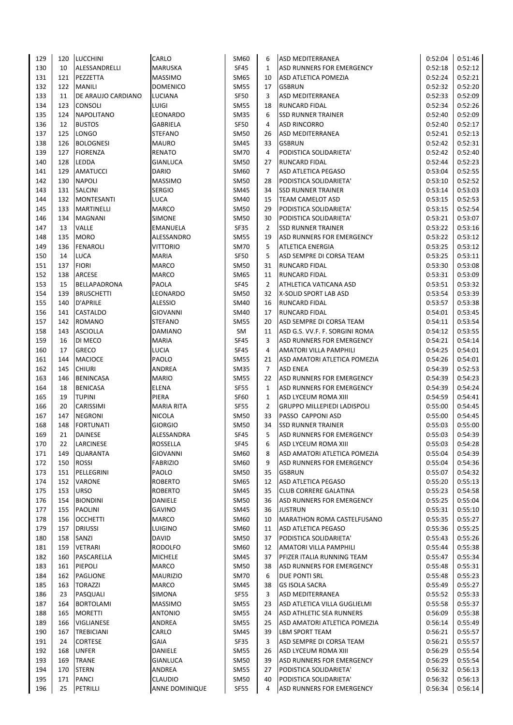| 129        | 120        | <b>LUCCHINI</b>            | CARLO                           | SM60                       | 6              | <b>ASD MEDITERRANEA</b>                                     | 0:52:04            | 0:51:46            |
|------------|------------|----------------------------|---------------------------------|----------------------------|----------------|-------------------------------------------------------------|--------------------|--------------------|
| 130        | 10         | ALESSANDRELLI              | <b>MARUSKA</b>                  | <b>SF45</b>                | $\mathbf{1}$   | ASD RUNNERS FOR EMERGENCY                                   | 0:52:18            | 0:52:12            |
| 131        | 121        | PEZZETTA                   | <b>MASSIMO</b>                  | SM65                       | 10             | <b>ASD ATLETICA POMEZIA</b>                                 | 0:52:24            | 0:52:21            |
| 132        | 122        | <b>MANILI</b>              | <b>DOMENICO</b>                 | SM55                       | 17             | <b>GSBRUN</b>                                               | 0:52:32            | 0:52:20            |
| 133        | 11         | DE ARAUJO CARDIANO         | LUCIANA                         | <b>SF50</b>                | 3              | ASD MEDITERRANEA                                            | 0:52:33            | 0:52:09            |
| 134        | 123        | <b>CONSOLI</b>             | <b>LUIGI</b>                    | <b>SM55</b>                | 18             | <b>RUNCARD FIDAL</b>                                        | 0:52:34            | 0:52:26            |
| 135        | 124        | <b>NAPOLITANO</b>          | LEONARDO                        | <b>SM35</b>                | 6              | <b>SSD RUNNER TRAINER</b>                                   | 0:52:40            | 0:52:09            |
| 136        | 12         | <b>BUSTOS</b>              | <b>GABRIELA</b>                 | <b>SF50</b>                | 4              | <b>ASD RINCORRO</b>                                         | 0:52:40            | 0:52:17            |
| 137        | 125        | LONGO                      | <b>STEFANO</b>                  | SM50                       | 26             | <b>ASD MEDITERRANEA</b>                                     | 0:52:41            | 0:52:13            |
| 138        | 126        | <b>BOLOGNESI</b>           | <b>MAURO</b>                    | SM45                       | 33             | <b>GSBRUN</b>                                               | 0:52:42            | 0:52:31            |
| 139        | 127        | <b>FIORENZA</b>            | <b>RENATO</b>                   | <b>SM70</b>                | 4<br>27        | PODISTICA SOLIDARIETA'                                      | 0:52:42            | 0:52:40            |
| 140<br>141 | 128<br>129 | LEDDA<br><b>AMATUCCI</b>   | <b>GIANLUCA</b><br><b>DARIO</b> | <b>SM50</b><br>SM60        | 7              | <b>RUNCARD FIDAL</b><br><b>ASD ATLETICA PEGASO</b>          | 0:52:44<br>0:53:04 | 0:52:23<br>0:52:55 |
| 142        | 130        | <b>NAPOLI</b>              | <b>MASSIMO</b>                  | <b>SM50</b>                | 28             | PODISTICA SOLIDARIETA'                                      | 0:53:10            | 0:52:52            |
| 143        | 131        | SALCINI                    | <b>SERGIO</b>                   | SM45                       | 34             | <b>SSD RUNNER TRAINER</b>                                   | 0:53:14            | 0:53:03            |
| 144        | 132        | <b>MONTESANTI</b>          | LUCA                            | SM40                       | 15             | <b>TEAM CAMELOT ASD</b>                                     | 0:53:15            | 0:52:53            |
| 145        | 133        | MARTINELLI                 | <b>MARCO</b>                    | <b>SM50</b>                | 29             | PODISTICA SOLIDARIETA'                                      | 0:53:15            | 0:52:54            |
| 146        | 134        | <b>MAGNANI</b>             | <b>SIMONE</b>                   | SM50                       | 30             | PODISTICA SOLIDARIETA'                                      | 0:53:21            | 0:53:07            |
| 147        | 13         | VALLE                      | <b>EMANUELA</b>                 | SF35                       | $\overline{2}$ | <b>SSD RUNNER TRAINER</b>                                   | 0:53:22            | 0:53:16            |
| 148        | 135        | <b>MORO</b>                | ALESSANDRO                      | SM55                       | 19             | ASD RUNNERS FOR EMERGENCY                                   | 0:53:22            | 0:53:12            |
| 149        | 136        | <b>FENAROLI</b>            | <b>VITTORIO</b>                 | <b>SM70</b>                | 5              | <b>ATLETICA ENERGIA</b>                                     | 0:53:25            | 0:53:12            |
| 150        | 14         | <b>LUCA</b>                | <b>MARIA</b>                    | <b>SF50</b>                | 5              | ASD SEMPRE DI CORSA TEAM                                    | 0:53:25            | 0:53:11            |
| 151        | 137        | <b>FIORI</b>               | <b>MARCO</b>                    | <b>SM50</b>                | 31             | <b>RUNCARD FIDAL</b>                                        | 0:53:30            | 0:53:08            |
| 152        | 138        | ARCESE                     | <b>MARCO</b>                    | SM65                       | 11             | <b>RUNCARD FIDAL</b>                                        | 0:53:31            | 0:53:09            |
| 153        | 15         | <b>BELLAPADRONA</b>        | PAOLA                           | <b>SF45</b>                | $\overline{2}$ | ATHLETICA VATICANA ASD                                      | 0:53:51            | 0:53:32            |
| 154        | 139        | <b>BRUSCHETTI</b>          | LEONARDO                        | <b>SM50</b>                | 32             | X-SOLID SPORT LAB ASD                                       | 0:53:54            | 0:53:39            |
| 155        | 140        | D'APRILE                   | <b>ALESSIO</b>                  | SM40                       | 16             | <b>RUNCARD FIDAL</b>                                        | 0:53:57            | 0:53:38            |
| 156        | 141        | CASTALDO                   | <b>GIOVANNI</b>                 | SM40                       | 17             | <b>RUNCARD FIDAL</b>                                        | 0:54:01            | 0:53:45            |
| 157<br>158 | 142<br>143 | <b>ROMANO</b>              | <b>STEFANO</b>                  | <b>SM55</b>                | 20             | ASD SEMPRE DI CORSA TEAM                                    | 0:54:11            | 0:53:54<br>0:53:55 |
| 159        | 16         | <b>ASCIOLLA</b><br>DI MECO | <b>DAMIANO</b><br><b>MARIA</b>  | SM<br><b>SF45</b>          | 11<br>3        | ASD G.S. VV.F. F. SORGINI ROMA<br>ASD RUNNERS FOR EMERGENCY | 0:54:12<br>0:54:21 | 0:54:14            |
| 160        | 17         | <b>GRECO</b>               | LUCIA                           | <b>SF45</b>                | 4              | <b>AMATORI VILLA PAMPHILI</b>                               | 0:54:25            | 0:54:01            |
| 161        | 144        | <b>MACIOCE</b>             | PAOLO                           | <b>SM55</b>                | 21             | ASD AMATORI ATLETICA POMEZIA                                | 0:54:26            | 0:54:01            |
| 162        | 145        | <b>CHIURI</b>              | ANDREA                          | <b>SM35</b>                | 7              | <b>ASD ENEA</b>                                             | 0:54:39            | 0:52:53            |
| 163        | 146        | <b>BENINCASA</b>           | <b>MARIO</b>                    | <b>SM55</b>                | 22             | ASD RUNNERS FOR EMERGENCY                                   | 0:54:39            | 0:54:23            |
| 164        | 18         | <b>BENICASA</b>            | ELENA                           | <b>SF55</b>                | 1              | ASD RUNNERS FOR EMERGENCY                                   | 0:54:39            | 0:54:24            |
| 165        | 19         | <b>TUPINI</b>              | PIERA                           | SF60                       | 1              | ASD LYCEUM ROMA XIII                                        | 0:54:59            | 0:54:41            |
| 166        | 20         | CARISSIMI                  | <b>MARIA RITA</b>               | <b>SF55</b>                | $\overline{2}$ | <b>GRUPPO MILLEPIEDI LADISPOLI</b>                          | 0:55:00            | 0:54:45            |
| 167        | 147        | <b>NEGRONI</b>             | <b>NICOLA</b>                   | <b>SM50</b>                | 33             | PASSO CAPPONI ASD                                           | 0:55:00            | 0:54:45            |
| 168        | 148        | <b>FORTUNATI</b>           | <b>GIORGIO</b>                  | SM50                       | 34             | <b>SSD RUNNER TRAINER</b>                                   | 0:55:03            | 0:55:00            |
| 169        | 21         | <b>DAINESE</b>             | <b>ALESSANDRA</b>               | <b>SF45</b>                | 5              | ASD RUNNERS FOR EMERGENCY                                   | 0:55:03            | 0:54:39            |
| 170        | 22         | LARCINESE                  | ROSSELLA                        | <b>SF45</b>                | 6              | ASD LYCEUM ROMA XIII                                        | 0:55:03            | 0:54:28            |
| 171        | 149        | QUARANTA                   | <b>GIOVANNI</b>                 | SM60                       | 8              | ASD AMATORI ATLETICA POMEZIA                                | 0:55:04            | 0:54:39            |
| 172        | 150        | <b>ROSSI</b>               | <b>FABRIZIO</b><br>PAOLO        | SM60                       | 9<br>35        | ASD RUNNERS FOR EMERGENCY<br><b>GSBRUN</b>                  | 0:55:04            | 0:54:36<br>0:54:32 |
| 173<br>174 | 151<br>152 | PELLEGRINI<br>VARONE       | <b>ROBERTO</b>                  | <b>SM50</b><br>SM65        | 12             | ASD ATLETICA PEGASO                                         | 0:55:07<br>0:55:20 | 0:55:13            |
| 175        | 153        | <b>URSO</b>                | <b>ROBERTO</b>                  | SM45                       | 35             | <b>CLUB CORRERE GALATINA</b>                                | 0:55:23            | 0:54:58            |
| 176        | 154        | <b>BIONDINI</b>            | <b>DANIELE</b>                  | <b>SM50</b>                | 36             | ASD RUNNERS FOR EMERGENCY                                   | 0:55:25            | 0:55:04            |
| 177        | 155        | <b>PAOLINI</b>             | <b>GAVINO</b>                   | SM45                       | 36             | <b>JUSTRUN</b>                                              | 0:55:31            | 0:55:10            |
| 178        | 156        | <b>OCCHETTI</b>            | MARCO                           | SM60                       | 10             | MARATHON ROMA CASTELFUSANO                                  | 0:55:35            | 0:55:27            |
| 179        | 157        | <b>DRIUSSI</b>             | LUIGINO                         | SM60                       | 11             | <b>ASD ATLETICA PEGASO</b>                                  | 0:55:36            | 0:55:25            |
| 180        | 158        | SANZI                      | DAVID                           | SM50                       | 37             | PODISTICA SOLIDARIETA'                                      | 0:55:43            | 0:55:26            |
| 181        | 159        | <b>VETRARI</b>             | <b>RODOLFO</b>                  | SM60                       | 12             | <b>AMATORI VILLA PAMPHILI</b>                               | 0:55:44            | 0:55:38            |
| 182        | 160        | PASCARELLA                 | <b>MICHELE</b>                  | SM45                       | 37             | PFIZER ITALIA RUNNING TEAM                                  | 0:55:47            | 0:55:34            |
| 183        | 161        | PIEPOLI                    | MARCO                           | <b>SM50</b>                | 38             | ASD RUNNERS FOR EMERGENCY                                   | 0:55:48            | 0:55:31            |
| 184        | 162        | PAGLIONE                   | <b>MAURIZIO</b>                 | SM70                       | 6              | <b>DUE PONTI SRL</b>                                        | 0:55:48            | 0:55:23            |
| 185        | 163        | <b>TORAZZI</b>             | MARCO                           | SM45                       | 38             | <b>GS ISOLA SACRA</b>                                       | 0:55:49            | 0:55:27            |
| 186        | 23         | PASQUALI                   | SIMONA                          | SF55                       | 3              | <b>ASD MEDITERRANEA</b>                                     | 0:55:52            | 0:55:33            |
| 187        | 164        | <b>BORTOLAMI</b>           | <b>MASSIMO</b>                  | SM55                       | 23             | ASD ATLETICA VILLA GUGLIELMI                                | 0:55:58            | 0:55:37            |
| 188<br>189 | 165        | <b>MORETTI</b>             | <b>ANTONIO</b><br>ANDREA        | <b>SM55</b><br><b>SM55</b> | 24<br>25       | ASD ATHLETIC SEA RUNNERS                                    | 0:56:09<br>0:56:14 | 0:55:38            |
| 190        | 166<br>167 | VIGLIANESE<br>TREBICIANI   | CARLO                           | SM45                       | 39             | ASD AMATORI ATLETICA POMEZIA<br><b>LBM SPORT TEAM</b>       | 0:56:21            | 0:55:49<br>0:55:57 |
| 191        | 24         | <b>CORTESE</b>             | <b>GAIA</b>                     | <b>SF35</b>                | 3              | ASD SEMPRE DI CORSA TEAM                                    | 0:56:21            | 0:55:57            |
| 192        | 168        | <b>UNFER</b>               | DANIELE                         | <b>SM55</b>                | 26             | ASD LYCEUM ROMA XIII                                        | 0:56:29            | 0:55:54            |
| 193        | 169        | <b>TRANE</b>               | <b>GIANLUCA</b>                 | SM50                       | 39             | ASD RUNNERS FOR EMERGENCY                                   | 0:56:29            | 0:55:54            |
| 194        | 170        | <b>STERN</b>               | ANDREA                          | SM55                       | 27             | PODISTICA SOLIDARIETA'                                      | 0:56:32            | 0:56:13            |
| 195        | 171        | <b>PANCI</b>               | <b>CLAUDIO</b>                  | SM50                       | 40             | PODISTICA SOLIDARIETA'                                      | 0:56:32            | 0:56:13            |
| 196        | 25         | PETRILLI                   | ANNE DOMINIQUE                  | <b>SF55</b>                | 4              | ASD RUNNERS FOR EMERGENCY                                   | 0:56:34            | 0:56:14            |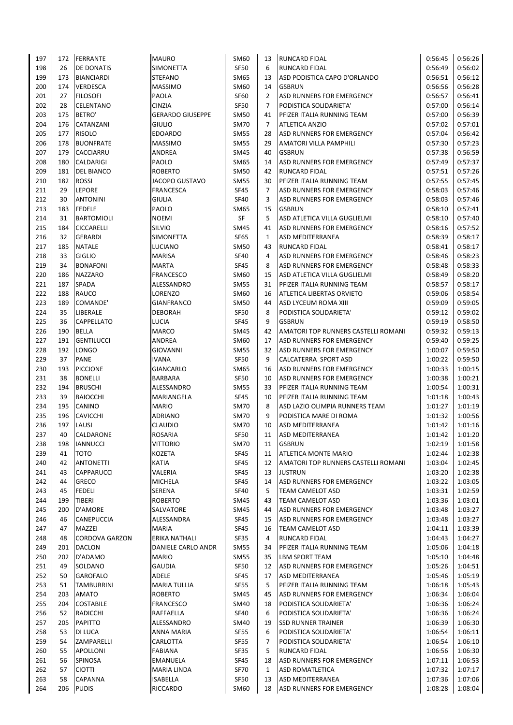| 197 | 172       | FERRANTE              | <b>MAURO</b>            | <b>SM60</b>                | 13           | <b>RUNCARD FIDAL</b>                                           | 0:56:45            | 0:56:26            |
|-----|-----------|-----------------------|-------------------------|----------------------------|--------------|----------------------------------------------------------------|--------------------|--------------------|
| 198 | 26        | DE DONATIS            | <b>SIMONETTA</b>        | <b>SF50</b>                | 6            | <b>RUNCARD FIDAL</b>                                           | 0:56:49            | 0:56:02            |
| 199 | 173       | <b>BIANCIARDI</b>     | <b>STEFANO</b>          | <b>SM65</b>                | 13           | ASD PODISTICA CAPO D'ORLANDO                                   | 0:56:51            | 0:56:12            |
| 200 | 174       | <b>VERDESCA</b>       | <b>MASSIMO</b>          | <b>SM60</b>                | 14           | <b>GSBRUN</b>                                                  | 0:56:56            | 0:56:28            |
| 201 | 27        | <b>FILOSOFI</b>       | PAOLA                   | <b>SF60</b>                | 2            | ASD RUNNERS FOR EMERGENCY                                      | 0:56:57            | 0:56:41            |
| 202 | 28        | <b>CELENTANO</b>      | <b>CINZIA</b>           | <b>SF50</b>                | 7            | PODISTICA SOLIDARIETA'                                         | 0:57:00            | 0:56:14            |
| 203 | 175       | BETRO'                | <b>GERARDO GIUSEPPE</b> | <b>SM50</b>                | 41           | PFIZER ITALIA RUNNING TEAM                                     | 0:57:00            | 0:56:39            |
| 204 | 176       | CATANZANI             | <b>GIULIO</b>           | <b>SM70</b>                | 7            | <b>ATLETICA ANZIO</b>                                          | 0:57:02            | 0:57:01            |
| 205 | 177       | <b>RISOLO</b>         | <b>EDOARDO</b>          | <b>SM55</b>                | 28           | ASD RUNNERS FOR EMERGENCY                                      | 0:57:04            | 0:56:42            |
| 206 | 178       | <b>BUONFRATE</b>      | <b>MASSIMO</b>          | <b>SM55</b>                | 29           | <b>AMATORI VILLA PAMPHILI</b>                                  | 0:57:30            | 0:57:23            |
| 207 | 179       | <b>CACCIARRU</b>      | <b>ANDREA</b>           | SM45                       | 40           | <b>GSBRUN</b>                                                  | 0:57:38            | 0:56:59            |
| 208 | 180       | <b>CALDARIGI</b>      | PAOLO                   | SM65                       | 14           | ASD RUNNERS FOR EMERGENCY                                      | 0:57:49            | 0:57:37            |
| 209 | 181       | <b>DEL BIANCO</b>     | <b>ROBERTO</b>          | SM50                       | 42           | <b>RUNCARD FIDAL</b>                                           | 0:57:51            | 0:57:26            |
| 210 | 182       | <b>ROSSI</b>          | <b>JACOPO GUSTAVO</b>   | <b>SM55</b>                | 30           | PFIZER ITALIA RUNNING TEAM                                     | 0:57:55            | 0:57:45            |
| 211 | 29        | LEPORE                | <b>FRANCESCA</b>        | <b>SF45</b>                | 7            | ASD RUNNERS FOR EMERGENCY                                      | 0:58:03            | 0:57:46            |
| 212 | 30        | <b>ANTONINI</b>       | <b>GIULIA</b>           | <b>SF40</b>                | 3            | ASD RUNNERS FOR EMERGENCY                                      | 0:58:03            | 0:57:46            |
| 213 | 183       | <b>FEDELE</b>         | PAOLO                   | SM65                       | 15           | <b>GSBRUN</b>                                                  | 0:58:10            | 0:57:41            |
| 214 | 31        | <b>BARTOMIOLI</b>     | <b>NOEMI</b>            | SF                         | 5            | ASD ATLETICA VILLA GUGLIELMI                                   | 0:58:10            | 0:57:40            |
| 215 | 184       | <b>CICCARELLI</b>     | SILVIO                  | <b>SM45</b>                | 41           | <b>ASD RUNNERS FOR EMERGENCY</b>                               | 0:58:16            | 0:57:52            |
| 216 | 32        | <b>GERARDI</b>        | <b>SIMONETTA</b>        | <b>SF65</b>                | $\mathbf{1}$ | <b>ASD MEDITERRANEA</b>                                        | 0:58:39            | 0:58:17            |
| 217 | 185       | <b>NATALE</b>         | LUCIANO                 | <b>SM50</b>                | 43           | <b>RUNCARD FIDAL</b>                                           | 0:58:41            | 0:58:17            |
| 218 | 33        | <b>GIGLIO</b>         | <b>MARISA</b>           | <b>SF40</b>                | 4            | ASD RUNNERS FOR EMERGENCY                                      | 0:58:46            | 0:58:23            |
| 219 | 34        | <b>BONAFONI</b>       | <b>MARTA</b>            | <b>SF45</b>                | 8            | ASD RUNNERS FOR EMERGENCY                                      | 0:58:48            | 0:58:33            |
| 220 | 186       | <b>NAZZARO</b>        | <b>FRANCESCO</b>        | <b>SM60</b>                | 15           | ASD ATLETICA VILLA GUGLIELMI                                   | 0:58:49            | 0:58:20            |
| 221 | 187       | SPADA                 | ALESSANDRO              | <b>SM55</b>                | 31           | PFIZER ITALIA RUNNING TEAM                                     | 0:58:57            | 0:58:17            |
| 222 | 188       | RAUCO                 | LORENZO                 | <b>SM60</b>                | 16           | <b>ATLETICA LIBERTAS ORVIETO</b>                               | 0:59:06            | 0:58:54            |
| 223 | 189       | COMANDE'              | <b>GIANFRANCO</b>       | <b>SM50</b>                | 44           | ASD LYCEUM ROMA XIII                                           | 0:59:09            | 0:59:05            |
| 224 | 35        | LIBERALE              | <b>DEBORAH</b>          | <b>SF50</b>                | 8            | PODISTICA SOLIDARIETA'                                         | 0:59:12            | 0:59:02            |
| 225 | 36        | CAPPELLATO            | <b>LUCIA</b>            | <b>SF45</b>                | 9            | <b>GSBRUN</b>                                                  | 0:59:19            | 0:58:50            |
| 226 | 190       | <b>BELLA</b>          | <b>MARCO</b>            | SM45                       | 42           | AMATORI TOP RUNNERS CASTELLI ROMANI                            | 0:59:32            | 0:59:13            |
| 227 | 191       | <b>GENTILUCCI</b>     | <b>ANDREA</b>           | <b>SM60</b>                | 17           | <b>ASD RUNNERS FOR EMERGENCY</b>                               | 0:59:40            | 0:59:25            |
| 228 | 192       | LONGO                 | <b>GIOVANNI</b>         | <b>SM55</b>                | 32           | <b>ASD RUNNERS FOR EMERGENCY</b>                               | 1:00:07            | 0:59:50            |
| 229 | 37        | <b>PANE</b>           | <b>IVANA</b>            | <b>SF50</b>                | 9            | <b>CALCATERRA SPORT ASD</b>                                    | 1:00:22            | 0:59:50            |
| 230 | 193       | <b>PICCIONE</b>       | <b>GIANCARLO</b>        | SM65                       | 16           | ASD RUNNERS FOR EMERGENCY                                      | 1:00:33            | 1:00:15            |
| 231 | 38        | <b>BONELLI</b>        |                         | <b>SF50</b>                | 10           |                                                                |                    |                    |
| 232 |           |                       | <b>BARBARA</b>          |                            | 33           | <b>ASD RUNNERS FOR EMERGENCY</b><br>PFIZER ITALIA RUNNING TEAM | 1:00:38            | 1:00:21<br>1:00:31 |
|     | 194<br>39 | <b>BRUSCHI</b>        | ALESSANDRO              | <b>SM55</b><br><b>SF45</b> |              |                                                                | 1:00:54<br>1:01:18 |                    |
| 233 |           | <b>BAIOCCHI</b>       | MARIANGELA              |                            | 10           | PFIZER ITALIA RUNNING TEAM                                     |                    | 1:00:43            |
| 234 | 195       | CANINO                | <b>MARIO</b>            | <b>SM70</b>                | 8            | ASD LAZIO OLIMPIA RUNNERS TEAM                                 | 1:01:27            | 1:01:19            |
| 235 | 196       | <b>CAVICCHI</b>       | <b>ADRIANO</b>          | <b>SM70</b>                | 9            | PODISTICA MARE DI ROMA                                         | 1:01:32            | 1:00:56            |
| 236 | 197       | LAUSI                 | <b>CLAUDIO</b>          | <b>SM70</b>                | 10           | <b>ASD MEDITERRANEA</b>                                        | 1:01:42            | 1:01:16            |
| 237 | 40        | CALDARONE             | <b>ROSARIA</b>          | SF50                       | 11           | <b>ASD MEDITERRANEA</b>                                        | 1:01:42            | 1:01:20            |
| 238 | 198       | <b>IANNUCCI</b>       | <b>VITTORIO</b>         | SM70                       | 11           | <b>GSBRUN</b>                                                  | 1:02:19            | 1:01:58            |
| 239 | 41        | <b>TOTO</b>           | <b>KOZETA</b>           | <b>SF45</b>                | 11           | <b>ATLETICA MONTE MARIO</b>                                    | 1:02:44            | 1:02:38            |
| 240 | 42        | <b>ANTONETTI</b>      | <b>KATIA</b>            | <b>SF45</b>                | 12           | AMATORI TOP RUNNERS CASTELLI ROMANI                            | 1:03:04            | 1:02:45            |
| 241 | 43        | <b>CAPPARUCCI</b>     | VALERIA                 | <b>SF45</b>                | 13           | <b>JUSTRUN</b>                                                 | 1:03:20            | 1:02:38            |
| 242 | 44        | GRECO                 | MICHELA                 | <b>SF45</b>                | 14           | <b>ASD RUNNERS FOR EMERGENCY</b>                               | 1:03:22            | 1:03:05            |
| 243 | 45        | <b>FEDELI</b>         | <b>SERENA</b>           | <b>SF40</b>                | 5            | <b>TEAM CAMELOT ASD</b>                                        | 1:03:31            | 1:02:59            |
| 244 | 199       | TIBERI                | <b>ROBERTO</b>          | SM45                       | 43           | <b>TEAM CAMELOT ASD</b>                                        | 1:03:36            | 1:03:01            |
| 245 | 200       | D'AMORE               | SALVATORE               | SM45                       | 44           | ASD RUNNERS FOR EMERGENCY                                      | 1:03:48            | 1:03:27            |
| 246 | 46        | CANEPUCCIA            | ALESSANDRA              | <b>SF45</b>                | 15           | ASD RUNNERS FOR EMERGENCY                                      | 1:03:48            | 1:03:27            |
| 247 | 47        | MAZZEI                | <b>MARIA</b>            | <b>SF45</b>                | 16           | <b>TEAM CAMELOT ASD</b>                                        | 1:04:11            | 1:03:39            |
| 248 | 48        | <b>CORDOVA GARZON</b> | ERIKA NATHALI           | <b>SF35</b>                | 4            | <b>RUNCARD FIDAL</b>                                           | 1:04:43            | 1:04:27            |
| 249 | 201       | <b>DACLON</b>         | DANIELE CARLO ANDR      | <b>SM55</b>                | 34           | PFIZER ITALIA RUNNING TEAM                                     | 1:05:06            | 1:04:18            |
| 250 | 202       | D'ADAMO               | <b>MARIO</b>            | SM55                       | 35           | LBM SPORT TEAM                                                 | 1:05:10            | 1:04:48            |
| 251 | 49        | SOLDANO               | <b>GAUDIA</b>           | SF50                       | 12           | ASD RUNNERS FOR EMERGENCY                                      | 1:05:26            | 1:04:51            |
| 252 | 50        | GAROFALO              | ADELE                   | SF45                       | 17           | <b>ASD MEDITERRANEA</b>                                        | 1:05:46            | 1:05:19            |
| 253 | 51        | <b>TAMBURRINI</b>     | <b>MARIA TULLIA</b>     | SF55                       | 5            | PFIZER ITALIA RUNNING TEAM                                     | 1:06:18            | 1:05:43            |
| 254 | 203       | <b>AMATO</b>          | <b>ROBERTO</b>          | SM45                       | 45           | <b>ASD RUNNERS FOR EMERGENCY</b>                               | 1:06:34            | 1:06:04            |
| 255 | 204       | <b>COSTABILE</b>      | <b>FRANCESCO</b>        | SM40                       | 18           | PODISTICA SOLIDARIETA'                                         | 1:06:36            | 1:06:24            |
| 256 | 52        | RADICCHI              | RAFFAELLA               | <b>SF40</b>                | 6            | PODISTICA SOLIDARIETA'                                         | 1:06:36            | 1:06:24            |
| 257 | 205       | <b>PAPITTO</b>        | ALESSANDRO              | SM40                       | 19           | <b>SSD RUNNER TRAINER</b>                                      | 1:06:39            | 1:06:30            |
| 258 | 53        | DI LUCA               | ANNA MARIA              | <b>SF55</b>                | 6            | PODISTICA SOLIDARIETA'                                         | 1:06:54            | 1:06:11            |
| 259 | 54        | ZAMPARELLI            | <b>CARLOTTA</b>         | SF55                       | 7            | PODISTICA SOLIDARIETA'                                         | 1:06:54            | 1:06:10            |
| 260 | 55        | <b>APOLLONI</b>       | <b>FABIANA</b>          | SF35                       | 5            | <b>RUNCARD FIDAL</b>                                           | 1:06:56            | 1:06:30            |
| 261 | 56        | SPINOSA               | <b>EMANUELA</b>         | <b>SF45</b>                | 18           | <b>ASD RUNNERS FOR EMERGENCY</b>                               | 1:07:11            | 1:06:53            |
| 262 | 57        | <b>CIOTTI</b>         | MARIA LINDA             | <b>SF70</b>                | $\mathbf{1}$ | <b>ASD ROMATLETICA</b>                                         | 1:07:32            | 1:07:17            |
| 263 | 58        | <b>CAPANNA</b>        | <b>ISABELLA</b>         | SF50                       | 13           | <b>ASD MEDITERRANEA</b>                                        | 1:07:36            | 1:07:06            |
| 264 | 206       | <b>PUDIS</b>          | RICCARDO                | SM60                       | 18           | ASD RUNNERS FOR EMERGENCY                                      | 1:08:28            | 1:08:04            |